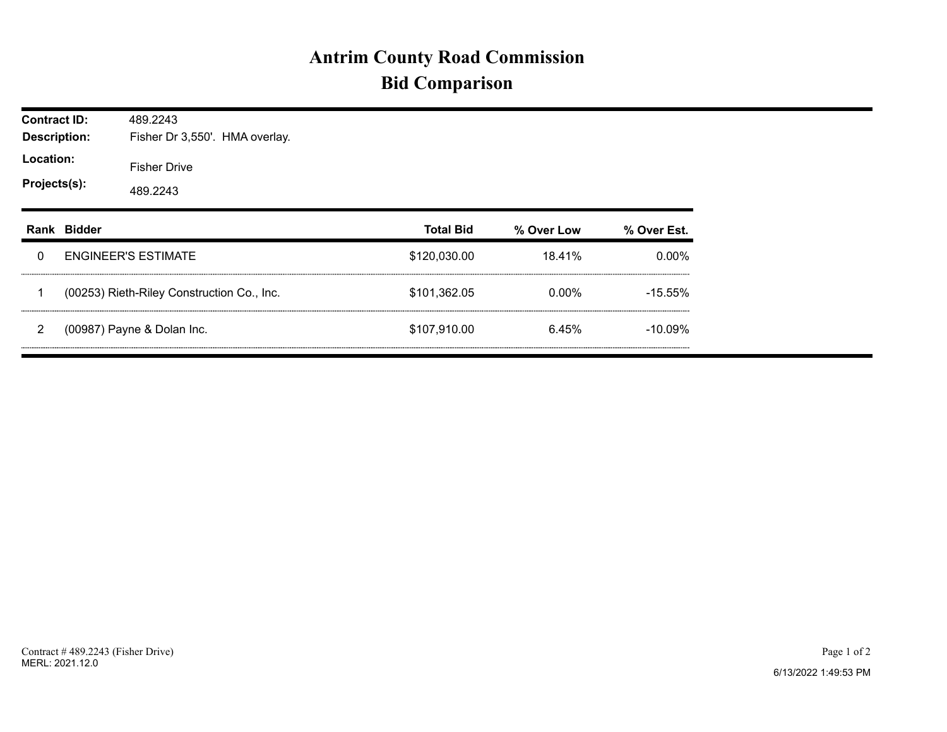## **Antrim County Road Commission Bid Comparison**

| <b>Contract ID:</b><br><b>Description:</b><br>Location:<br>Projects(s): |             | 489.2243<br>Fisher Dr 3,550'. HMA overlay. |  |  |                  |            |             |  |  |  |
|-------------------------------------------------------------------------|-------------|--------------------------------------------|--|--|------------------|------------|-------------|--|--|--|
|                                                                         |             | <b>Fisher Drive</b><br>489.2243            |  |  |                  |            |             |  |  |  |
|                                                                         | Rank Bidder |                                            |  |  | <b>Total Bid</b> | % Over Low | % Over Est. |  |  |  |
| 0                                                                       |             | <b>ENGINEER'S ESTIMATE</b>                 |  |  | \$120,030.00     | 18.41%     | $0.00\%$    |  |  |  |
|                                                                         |             | (00253) Rieth-Riley Construction Co., Inc. |  |  | \$101,362.05     | $0.00\%$   | $-15.55\%$  |  |  |  |
| 2                                                                       |             | (00987) Payne & Dolan Inc.                 |  |  | \$107,910.00     | 6.45%      | $-10.09\%$  |  |  |  |